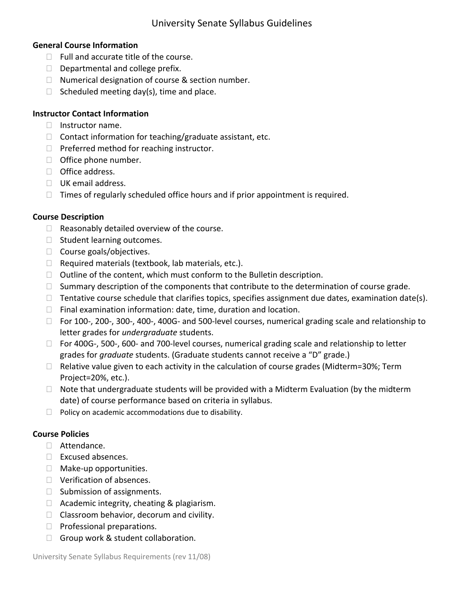## **General Course Information**

- $\Box$  Full and accurate title of the course.
- $\Box$  Departmental and college prefix.
- $\Box$  Numerical designation of course & section number.
- $\Box$  Scheduled meeting day(s), time and place.

## **Instructor Contact Information**

- $\Box$  Instructor name.
- $\Box$  Contact information for teaching/graduate assistant, etc.
- $\Box$  Preferred method for reaching instructor.
- $\Box$  Office phone number.
- $\Box$  Office address.
- UK email address.
- $\Box$  Times of regularly scheduled office hours and if prior appointment is required.

## **Course Description**

- $\Box$  Reasonably detailed overview of the course.
- $\Box$  Student learning outcomes.
- $\Box$  Course goals/objectives.
- $\Box$  Required materials (textbook, lab materials, etc.).
- $\Box$  Outline of the content, which must conform to the Bulletin description.
- $\Box$  Summary description of the components that contribute to the determination of course grade.
- $\Box$  Tentative course schedule that clarifies topics, specifies assignment due dates, examination date(s).
- $\Box$  Final examination information: date, time, duration and location.
- For 100‐, 200‐, 300‐, 400‐, 400G‐ and 500‐level courses, numerical grading scale and relationship to letter grades for *undergraduate* students.
- For 400G‐, 500‐, 600‐ and 700‐level courses, numerical grading scale and relationship to letter grades for *graduate* students. (Graduate students cannot receive a "D" grade.)
- $\Box$  Relative value given to each activity in the calculation of course grades (Midterm=30%; Term Project=20%, etc.).
- $\Box$  Note that undergraduate students will be provided with a Midterm Evaluation (by the midterm date) of course performance based on criteria in syllabus.
- $\Box$  Policy on academic accommodations due to disability.

## **Course Policies**

- Attendance.
- □ Excused absences.
- $\Box$  Make-up opportunities.
- □ Verification of absences.
- $\Box$  Submission of assignments.
- $\Box$  Academic integrity, cheating & plagiarism.
- $\Box$  Classroom behavior, decorum and civility.
- $\Box$  Professional preparations.
- Group work & student collaboration.

University Senate Syllabus Requirements (rev 11/08)